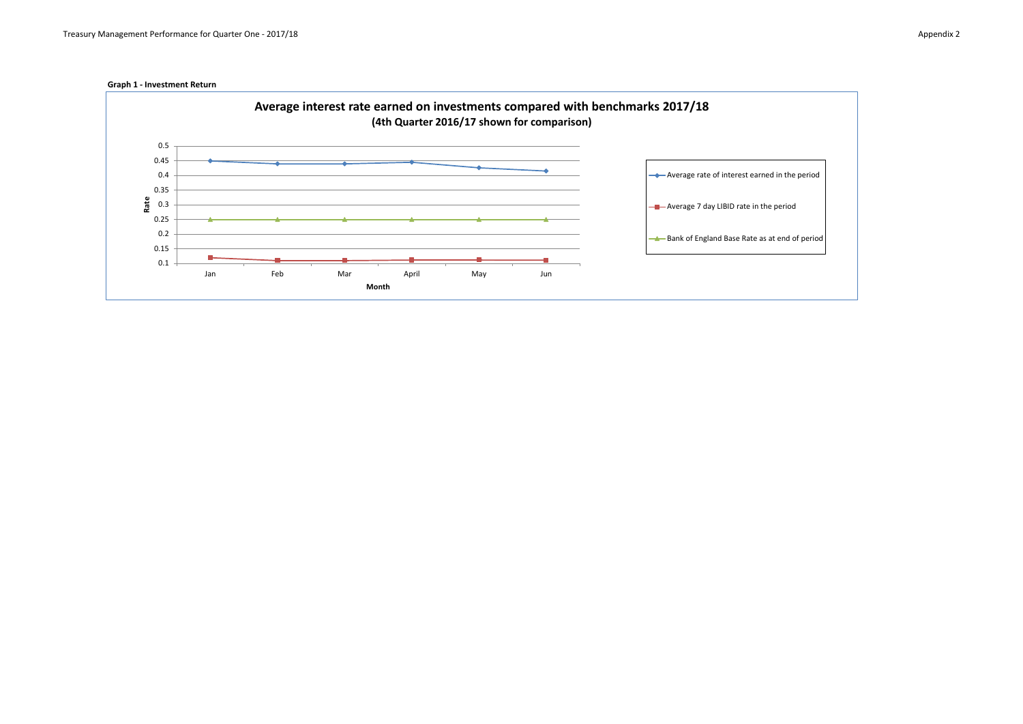

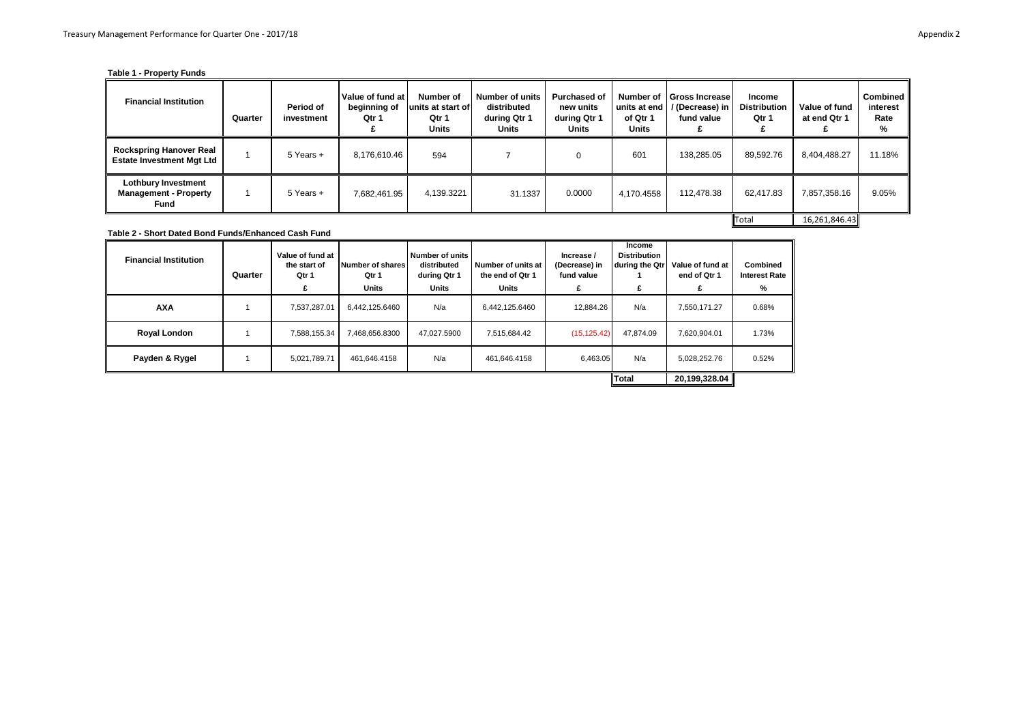## **Table 1 - Property Funds**

| <b>Financial Institution</b>                                              | Quarter | Period of<br>investment | Value of fund at<br>beginning of<br>Qtr 1 | Number of<br>lunits at start of<br>Qtr 1<br><b>Units</b> | <b>Number of units</b><br>distributed<br>during Qtr 1<br>Units | <b>Purchased of</b><br>new units<br>during Qtr 1<br>Units | Number of<br>units at end I<br>of Qtr 1<br>Units | <b>Gross Increase</b><br>/ (Decrease) in<br>fund value | Income<br><b>Distribution</b><br>Qtr 1 | Value of fund<br>at end Qtr 1 | Combined<br>interest<br>Rate<br>% |
|---------------------------------------------------------------------------|---------|-------------------------|-------------------------------------------|----------------------------------------------------------|----------------------------------------------------------------|-----------------------------------------------------------|--------------------------------------------------|--------------------------------------------------------|----------------------------------------|-------------------------------|-----------------------------------|
| <b>Rockspring Hanover Real</b><br><b>Estate Investment Mgt Ltd</b>        |         | 5 Years +               | 8,176,610.46                              | 594                                                      |                                                                |                                                           | 601                                              | 138,285.05                                             | 89,592.76                              | 8,404,488.27                  | 11.18%                            |
| <b>Lothbury Investment</b><br><b>Management - Property</b><br><b>Fund</b> |         | 5 Years +               | 7,682,461.95                              | 4,139.3221                                               | 31.1337                                                        | 0.0000                                                    | 4,170.4558                                       | 112,478.38                                             | 62,417.83                              | 7,857,358.16                  | 9.05%                             |
|                                                                           |         |                         |                                           |                                                          |                                                                |                                                           |                                                  |                                                        | Total                                  | 16,261,846.43                 |                                   |

**Table 2 - Short Dated Bond Funds/Enhanced Cash Fund**

| <b>Financial Institution</b> | Quarter | Value of fund at<br>the start of<br>Qtr 1 | Number of shares<br>Qtr 1<br>Units | Number of units<br>distributed<br>during Qtr 1<br>Units | Number of units at<br>the end of Qtr 1<br>Units | Increase /<br>(Decrease) in<br>fund value<br>£ | Income<br><b>Distribution</b><br>during the Qtr | Value of fund at<br>end of Otr 1 | Combined<br><b>Interest Rate</b><br>% |
|------------------------------|---------|-------------------------------------------|------------------------------------|---------------------------------------------------------|-------------------------------------------------|------------------------------------------------|-------------------------------------------------|----------------------------------|---------------------------------------|
| <b>AXA</b>                   |         | 7.537.287.01                              | 6,442,125.6460                     | N/a                                                     | 6,442,125.6460                                  | 12.884.26                                      | N/a                                             | 7.550.171.27                     | 0.68%                                 |
| Royal London                 |         | 7.588.155.34                              | 7.468.656.8300                     | 47.027.5900                                             | 7.515.684.42                                    | (15, 125.42)                                   | 47.874.09                                       | 7.620.904.01                     | 1.73%                                 |
| Payden & Rygel               |         | 5.021.789.71                              | 461.646.4158                       | N/a                                                     | 461.646.4158                                    | 6.463.05                                       | N/a                                             | 5,028,252.76                     | 0.52%                                 |
|                              |         |                                           |                                    |                                                         |                                                 |                                                | Total                                           | 20,199,328.04                    |                                       |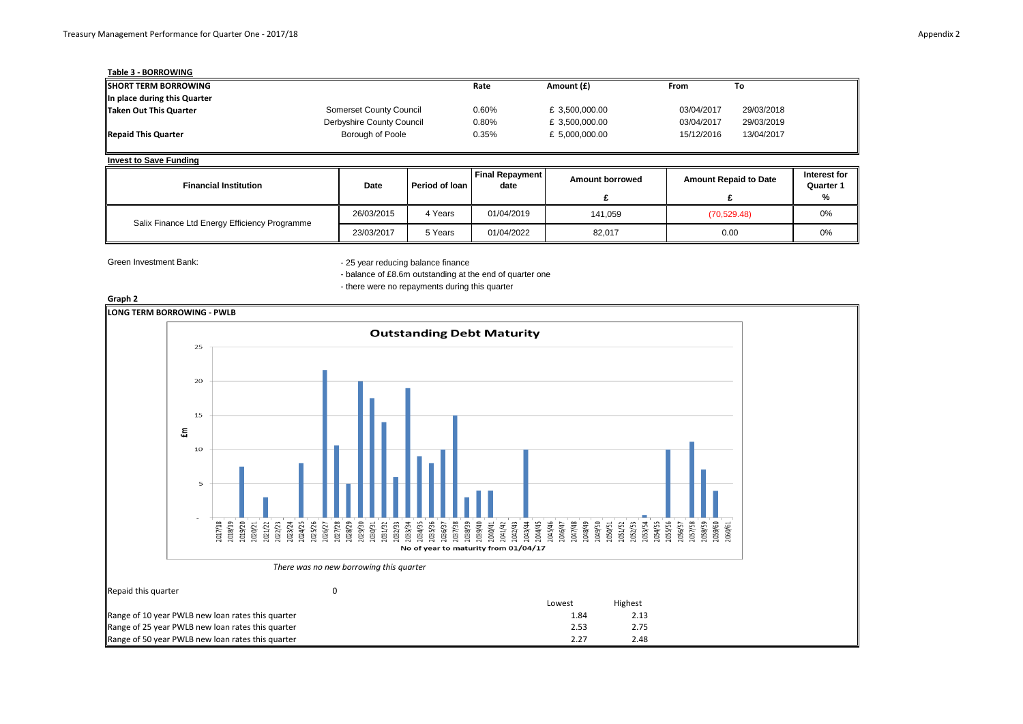| Table 3 - BORROWING          |                           |       |                |            |            |
|------------------------------|---------------------------|-------|----------------|------------|------------|
| <b>ISHORT TERM BORROWING</b> |                           | Rate  | Amount (£)     | From       | To         |
| In place during this Quarter |                           |       |                |            |            |
| Taken Out This Quarter       | Somerset County Council   | 0.60% | £ 3,500,000.00 | 03/04/2017 | 29/03/2018 |
|                              | Derbyshire County Council | 0.80% | £ 3,500,000.00 | 03/04/2017 | 29/03/2019 |
| <b>Repaid This Quarter</b>   | Borough of Poole          | 0.35% | £ 5,000,000.00 | 15/12/2016 | 13/04/2017 |

## **Invest to Save Funding**

| <b>Financial Institution</b>                  | <b>Date</b> | Period of Ioan | <b>Final Repayment</b><br>date | <b>Amount borrowed</b> | <b>Amount Repaid to Date</b> | Interest for<br>Quarter 1<br>% |
|-----------------------------------------------|-------------|----------------|--------------------------------|------------------------|------------------------------|--------------------------------|
| Salix Finance Ltd Energy Efficiency Programme | 26/03/2015  | 4 Years        | 01/04/2019                     | 141.059                | (70, 529.48)                 | 0%                             |
|                                               | 23/03/2017  | 5 Years        | 01/04/2022                     | 82,017                 | 0.00                         | 0%                             |

Green Investment Bank: Green Investment Bank: 25 year reducing balance finance

- balance of £8.6m outstanding at the end of quarter one - there were no repayments during this quarter